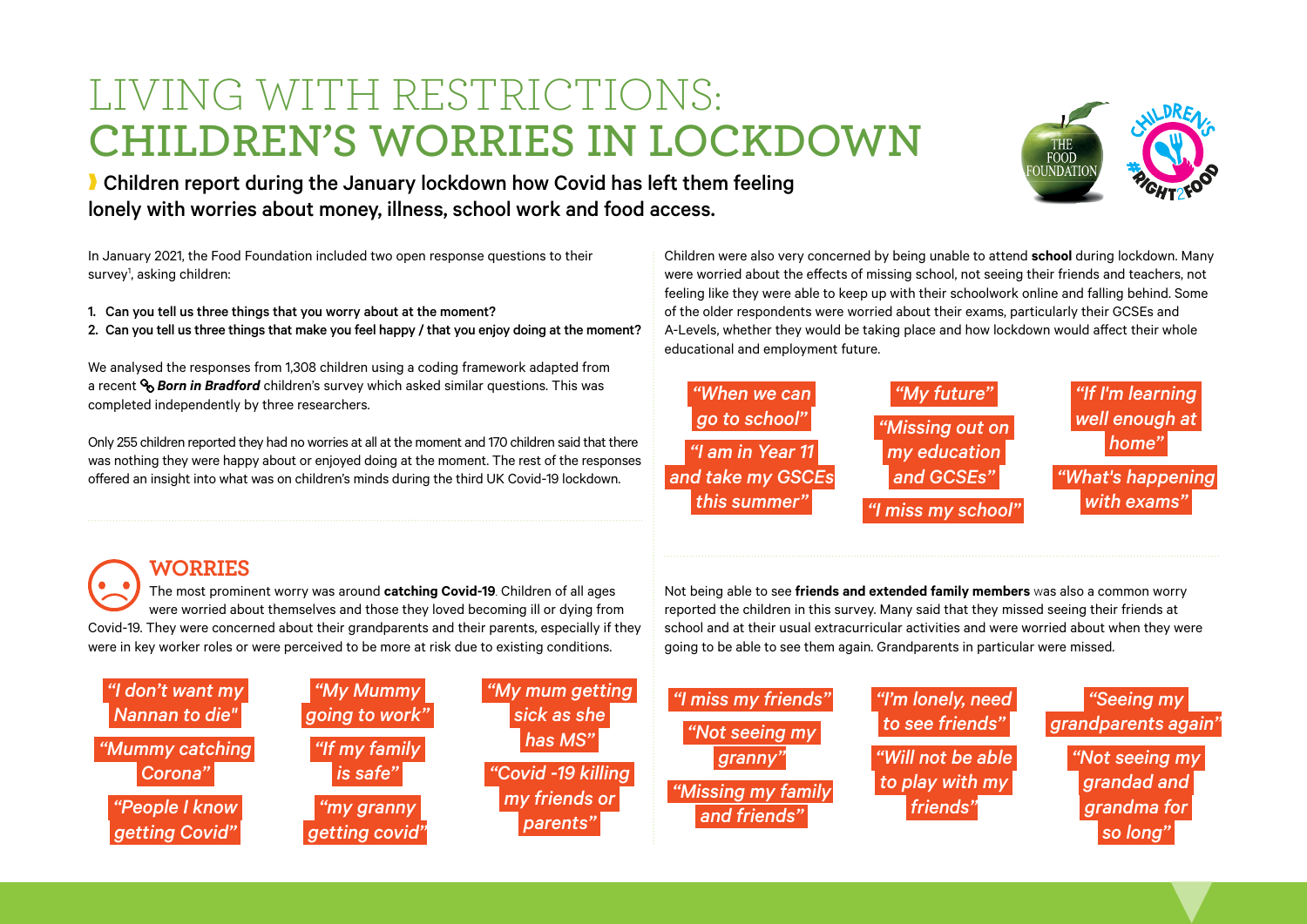## LIVING WITH RESTRICTIONS: **CHILDREN'S WORRIES IN LOCKDOWN**



**I** Children report during the January lockdown how Covid has left them feeling lonely with worries about money, illness, school work and food access.

In January 2021, the Food Foundation included two open response questions to their survey<sup>1</sup>, asking children:

1. Can you tell us three things that you worry about at the moment? 2. Can you tell us three things that make you feel happy / that you enjoy doing at the moment?

We analysed the responses from 1,308 children using a coding framework adapted from a recent *[Born in Bradford](https://borninbradford.nhs.uk)* children's survey which asked similar questions. This was completed independently by three researchers.

Only 255 children reported they had no worries at all at the moment and 170 children said that there was nothing they were happy about or enjoyed doing at the moment. The rest of the responses offered an insight into what was on children's minds during the third UK Covid-19 lockdown.

Children were also very concerned by being unable to attend **school** during lockdown. Many were worried about the effects of missing school, not seeing their friends and teachers, not feeling like they were able to keep up with their schoolwork online and falling behind. Some of the older respondents were worried about their exams, particularly their GCSEs and A-Levels, whether they would be taking place and how lockdown would affect their whole educational and employment future.



Not being able to see **friends and extended family members** was also a common worry reported the children in this survey. Many said that they missed seeing their friends at school and at their usual extracurricular activities and were worried about when they were

going to be able to see them again. Grandparents in particular were missed.

### **WORRIES**

The most prominent worry was around **catching Covid-19**. Children of all ages were worried about themselves and those they loved becoming ill or dying from Covid-19. They were concerned about their grandparents and their parents, especially if they were in key worker roles or were perceived to be more at risk due to existing conditions.